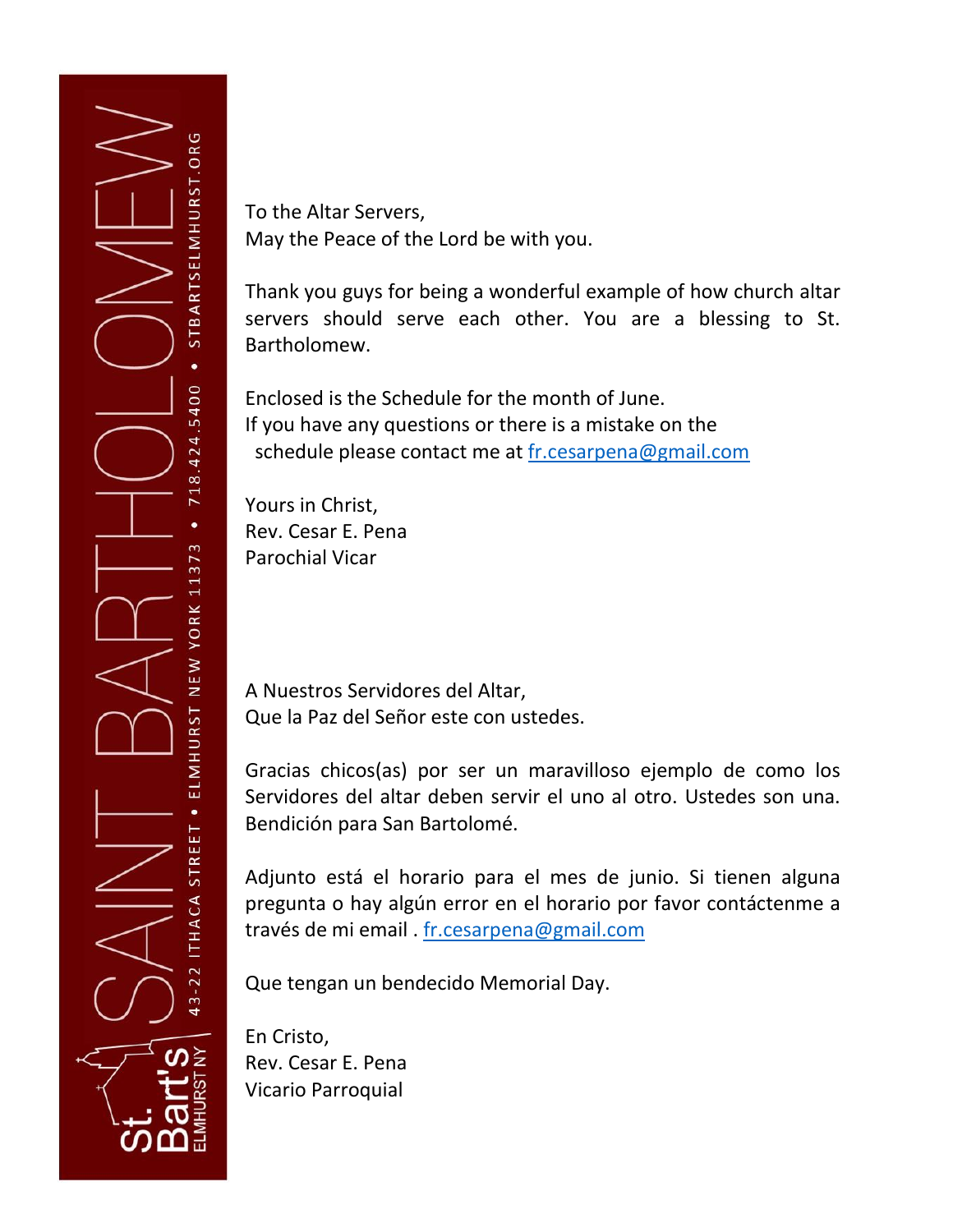ں مص<u>ر </u> **STBARTSELMHURST** 718.424.5400  $\bullet$ NEW YORK 11373 · ELMHURST STREET **ITHACA**  $13 - 22$ 

To the Altar Servers, May the Peace of the Lord be with you.

Thank you guys for being a wonderful example of how church altar servers should serve each other. You are a blessing to St. Bartholomew.

Enclosed is the Schedule for the month of June. If you have any questions or there is a mistake on the schedule please contact me at [fr.cesarpena@gmail.com](mailto:fr.cesarpena@gmail.com)

Yours in Christ, Rev. Cesar E. Pena Parochial Vicar

A Nuestros Servidores del Altar, Que la Paz del Señor este con ustedes.

Gracias chicos(as) por ser un maravilloso ejemplo de como los Servidores del altar deben servir el uno al otro. Ustedes son una. Bendición para San Bartolomé.

Adjunto está el horario para el mes de junio. Si tienen alguna pregunta o hay algún error en el horario por favor contáctenme a través de mi email . [fr.cesarpena@gmail.com](mailto:fr.cesarpena@gmail.com)

Que tengan un bendecido Memorial Day.

En Cristo, Rev. Cesar E. Pena Vicario Parroquial